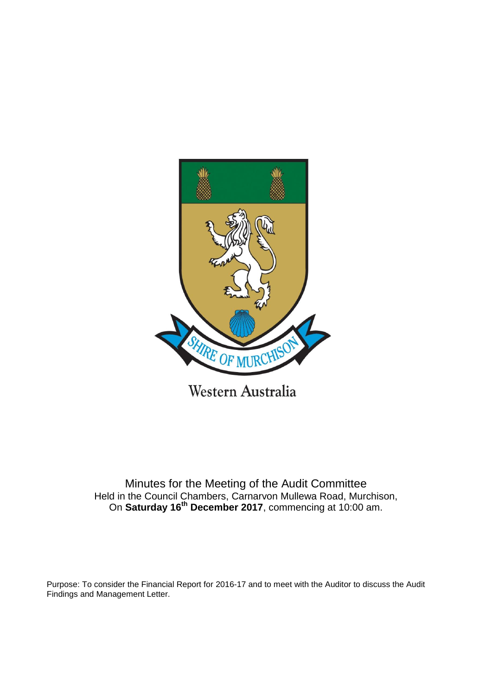

Western Australia

Minutes for the Meeting of the Audit Committee Held in the Council Chambers, Carnarvon Mullewa Road, Murchison, On **Saturday 16th December 2017**, commencing at 10:00 am.

Purpose: To consider the Financial Report for 2016-17 and to meet with the Auditor to discuss the Audit Findings and Management Letter.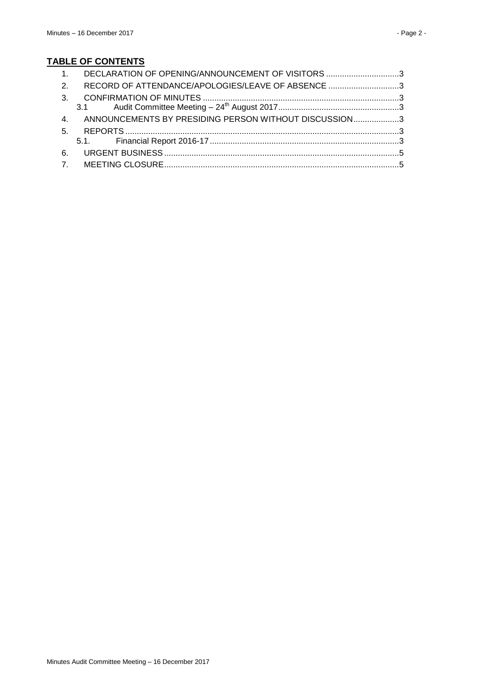# **TABLE OF CONTENTS**

| 1. DECLARATION OF OPENING/ANNOUNCEMENT OF VISITORS 3     |  |
|----------------------------------------------------------|--|
| 2. RECORD OF ATTENDANCE/APOLOGIES/LEAVE OF ABSENCE 3     |  |
|                                                          |  |
|                                                          |  |
| 4. ANNOUNCEMENTS BY PRESIDING PERSON WITHOUT DISCUSSION3 |  |
|                                                          |  |
|                                                          |  |
|                                                          |  |
|                                                          |  |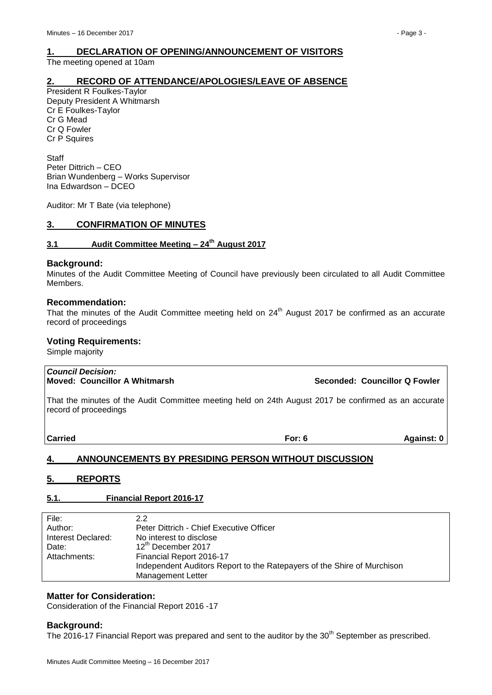# <span id="page-2-0"></span>**1. DECLARATION OF OPENING/ANNOUNCEMENT OF VISITORS**

The meeting opened at 10am

## <span id="page-2-1"></span>**2. RECORD OF ATTENDANCE/APOLOGIES/LEAVE OF ABSENCE**

President R Foulkes-Taylor Deputy President A Whitmarsh Cr E Foulkes-Taylor Cr G Mead Cr Q Fowler Cr P Squires

**Staff** Peter Dittrich – CEO Brian Wundenberg – Works Supervisor Ina Edwardson – DCEO

Auditor: Mr T Bate (via telephone)

## <span id="page-2-2"></span>**3. CONFIRMATION OF MINUTES**

## <span id="page-2-3"></span>**3.1 Audit Committee Meeting – 24th August 2017**

#### **Background:**

Minutes of the Audit Committee Meeting of Council have previously been circulated to all Audit Committee Members.

#### **Recommendation:**

That the minutes of the Audit Committee meeting held on 24<sup>th</sup> August 2017 be confirmed as an accurate record of proceedings

## **Voting Requirements:**

Simple majority

#### *Council Decision:* **Moved: Councillor A Whitmarsh Seconded: Councillor Q Fowler**

That the minutes of the Audit Committee meeting held on 24th August 2017 be confirmed as an accurate record of proceedings

**Carried For: 6 Against: 0**

# <span id="page-2-4"></span>**4. ANNOUNCEMENTS BY PRESIDING PERSON WITHOUT DISCUSSION**

# <span id="page-2-5"></span>**5. REPORTS**

# <span id="page-2-6"></span>**5.1. Financial Report 2016-17**

| File:              | 2.2                                                                     |
|--------------------|-------------------------------------------------------------------------|
| Author:            | Peter Dittrich - Chief Executive Officer                                |
| Interest Declared: | No interest to disclose                                                 |
| Date:              | 12th December 2017                                                      |
| Attachments:       | Financial Report 2016-17                                                |
|                    | Independent Auditors Report to the Ratepayers of the Shire of Murchison |
|                    | <b>Management Letter</b>                                                |

# **Matter for Consideration:**

Consideration of the Financial Report 2016 -17

# **Background:**

The 2016-17 Financial Report was prepared and sent to the auditor by the 30<sup>th</sup> September as prescribed.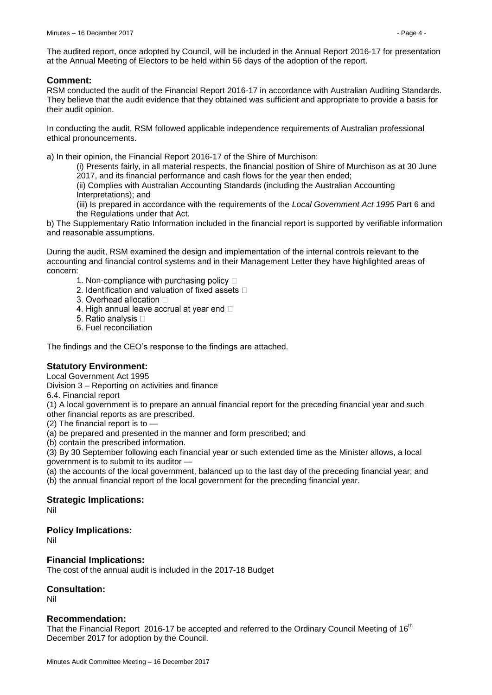The audited report, once adopted by Council, will be included in the Annual Report 2016-17 for presentation at the Annual Meeting of Electors to be held within 56 days of the adoption of the report.

# **Comment:**

RSM conducted the audit of the Financial Report 2016-17 in accordance with Australian Auditing Standards. They believe that the audit evidence that they obtained was sufficient and appropriate to provide a basis for their audit opinion.

In conducting the audit, RSM followed applicable independence requirements of Australian professional ethical pronouncements.

a) In their opinion, the Financial Report 2016-17 of the Shire of Murchison:

(i) Presents fairly, in all material respects, the financial position of Shire of Murchison as at 30 June 2017, and its financial performance and cash flows for the year then ended;

(ii) Complies with Australian Accounting Standards (including the Australian Accounting Interpretations); and

(iii) Is prepared in accordance with the requirements of the *Local Government Act 1995* Part 6 and the Regulations under that Act.

b) The Supplementary Ratio Information included in the financial report is supported by verifiable information and reasonable assumptions.

During the audit, RSM examined the design and implementation of the internal controls relevant to the accounting and financial control systems and in their Management Letter they have highlighted areas of concern:

- 1. Non-compliance with purchasing policy  $\Box$
- 2. Identification and valuation of fixed assets D
- 3. Overhead allocation D
- 4. High annual leave accrual at year end  $\Box$
- 5. Ratio analysis D
- 6. Fuel reconciliation

The findings and the CEO's response to the findings are attached.

# **Statutory Environment:**

Local Government Act 1995

Division 3 – Reporting on activities and finance

6.4. Financial report

(1) A local government is to prepare an annual financial report for the preceding financial year and such other financial reports as are prescribed.

 $(2)$  The financial report is to  $-$ 

(a) be prepared and presented in the manner and form prescribed; and

(b) contain the prescribed information.

(3) By 30 September following each financial year or such extended time as the Minister allows, a local government is to submit to its auditor —

(a) the accounts of the local government, balanced up to the last day of the preceding financial year; and

(b) the annual financial report of the local government for the preceding financial year.

## **Strategic Implications:**

Nil

## **Policy Implications:**

Nil

## **Financial Implications:**

The cost of the annual audit is included in the 2017-18 Budget

## **Consultation:**

Nil

## **Recommendation:**

That the Financial Report 2016-17 be accepted and referred to the Ordinary Council Meeting of 16<sup>th</sup> December 2017 for adoption by the Council.